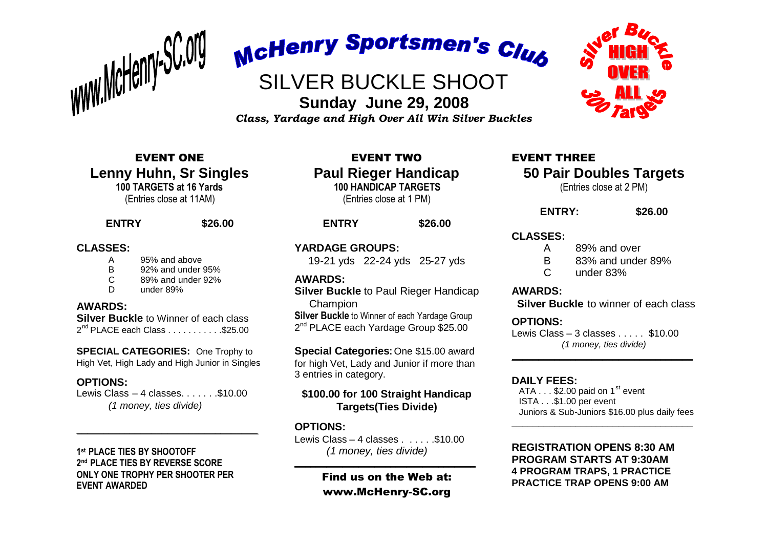

McHenry Sportsmen's Club

# SILVER BUCKLE SHOOT

# **Sunday June 29, 2008** *Class, Yardage and High Over All Win Silver Buckles*

EVENT ONE **Lenny Huhn, Sr Singles 100 TARGETS at 16 Yards** (Entries close at 11AM)

# **ENTRY \$26.00**

# **CLASSES:**

- A 95% and above
- B 92% and under 95%
- C 89% and under 92%
- D under 89%

# **AWARDS:**

**Silver Buckle** to Winner of each class 2<sup>nd</sup> PLACE each Class . . . . . . . . . . . \$25.00

**SPECIAL CATEGORIES:** One Trophy to High Vet, High Lady and High Junior in Singles

# **OPTIONS:**

Lewis Class  $-4$  classes. . . . . . . \$10.00 *(1 money, ties divide)*

 $\overline{\phantom{a}}$  , where the contract of the contract of the contract of the contract of the contract of the contract of the contract of the contract of the contract of the contract of the contract of the contract of the contr

**1 st PLACE TIES BY SHOOTOFF 2 nd PLACE TIES BY REVERSE SCORE ONLY ONE TROPHY PER SHOOTER PER EVENT AWARDED**

EVENT TWO **Paul Rieger Handicap 100 HANDICAP TARGETS** (Entries close at 1 PM)

# **ENTRY \$26.00**

**YARDAGE GROUPS:**

19-21 yds 22-24 yds 25-27 yds

#### **AWARDS:**

**Silver Buckle** to Paul Rieger Handicap Champion

**Silver Buckle** to Winner of each Yardage Group 2<sup>nd</sup> PLACE each Yardage Group \$25.00

**Special Categories:** One \$15.00 award for high Vet, Lady and Junior if more than 3 entries in category.

# **\$100.00 for 100 Straight Handicap Targets(Ties Divide)**

# **OPTIONS:**

Lewis Class – 4 classes  $\ldots$  . . . . . \$10.00 *(1 money, ties divide)*

# Find us on the Web at: www.McHenry-SC.org

\_\_\_\_\_\_\_\_\_\_\_\_\_\_\_\_\_\_\_\_\_\_\_\_\_\_\_\_\_\_\_\_\_\_



# EVENT THREE **50 Pair Doubles Targets**

(Entries close at 2 PM)

# **ENTRY: \$26.00**

# **CLASSES:**

- A 89% and over
- B 83% and under 89%
- C under 83%

# **AWARDS:**

**Silver Buckle** to winner of each class

# **OPTIONS:**

Lewis Class – 3 classes  $\sim$  \$10.00 *(1 money, ties divide)*

\_\_\_\_\_\_\_\_\_\_\_\_\_\_\_\_\_\_\_\_\_\_\_\_\_\_\_\_\_\_\_\_\_\_

# **DAILY FEES:**

ATA  $\dots$  \$2.00 paid on 1<sup>st</sup> event ISTA . . .\$1.00 per event Juniors & Sub-Juniors \$16.00 plus daily fees

 $\overline{\phantom{a}}$  , where the contract of the contract of the contract of the contract of the contract of the contract of the contract of the contract of the contract of the contract of the contract of the contract of the contr

# **REGISTRATION OPENS 8:30 AM PROGRAM STARTS AT 9:30AM 4 PROGRAM TRAPS, 1 PRACTICE PRACTICE TRAP OPENS 9:00 AM**